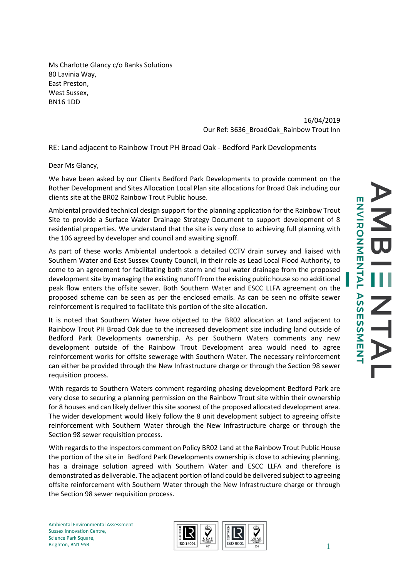Ms Charlotte Glancy c/o Banks Solutions 80 Lavinia Way, East Preston, West Sussex, BN16 1DD

> 16/04/2019 Our Ref: 3636\_BroadOak\_Rainbow Trout Inn

RE: Land adjacent to Rainbow Trout PH Broad Oak - Bedford Park Developments

Dear Ms Glancy,

We have been asked by our Clients Bedford Park Developments to provide comment on the Rother Development and Sites Allocation Local Plan site allocations for Broad Oak including our clients site at the BR02 Rainbow Trout Public house.

Ambiental provided technical design support for the planning application for the Rainbow Trout Site to provide a Surface Water Drainage Strategy Document to support development of 8 residential properties. We understand that the site is very close to achieving full planning with the 106 agreed by developer and council and awaiting signoff.

As part of these works Ambiental undertook a detailed CCTV drain survey and liaised with Southern Water and East Sussex County Council, in their role as Lead Local Flood Authority, to come to an agreement for facilitating both storm and foul water drainage from the proposed development site by managing the existing runoff from the existing public house so no additional peak flow enters the offsite sewer. Both Southern Water and ESCC LLFA agreement on the proposed scheme can be seen as per the enclosed emails. As can be seen no offsite sewer reinforcement is required to facilitate this portion of the site allocation.

It is noted that Southern Water have objected to the BR02 allocation at Land adjacent to Rainbow Trout PH Broad Oak due to the increased development size including land outside of Bedford Park Developments ownership. As per Southern Waters comments any new development outside of the Rainbow Trout Development area would need to agree reinforcement works for offsite sewerage with Southern Water. The necessary reinforcement can either be provided through the New Infrastructure charge or through the Section 98 sewer requisition process.

With regards to Southern Waters comment regarding phasing development Bedford Park are very close to securing a planning permission on the Rainbow Trout site within their ownership for 8 houses and can likely deliver this site soonest of the proposed allocated development area. The wider development would likely follow the 8 unit development subject to agreeing offsite reinforcement with Southern Water through the New Infrastructure charge or through the Section 98 sewer requisition process.

With regards to the inspectors comment on Policy BR02 Land at the Rainbow Trout Public House the portion of the site in Bedford Park Developments ownership is close to achieving planning, has a drainage solution agreed with Southern Water and ESCC LLFA and therefore is demonstrated as deliverable. The adjacent portion of land could be delivered subject to agreeing offsite reinforcement with Southern Water through the New Infrastructure charge or through the Section 98 sewer requisition process.